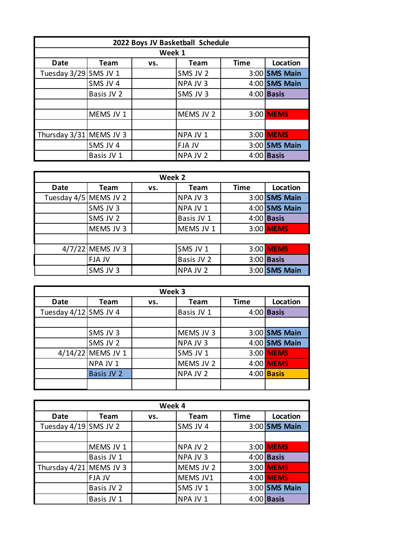| 2022 Boys JV Basketball Schedule |             |     |             |             |               |  |  |
|----------------------------------|-------------|-----|-------------|-------------|---------------|--|--|
| Week 1                           |             |     |             |             |               |  |  |
| Date                             | <b>Team</b> | VS. | <b>Team</b> | <b>Time</b> | Location      |  |  |
| Tuesday 3/29 SMS JV 1            |             |     | SMS JV 2    |             | 3:00 SMS Main |  |  |
|                                  | SMS JV 4    |     | NPA JV 3    |             | 4:00 SMS Main |  |  |
|                                  | Basis JV 2  |     | SMS JV 3    |             | $4:00$ Basis  |  |  |
|                                  |             |     |             |             |               |  |  |
|                                  | MEMS JV 1   |     | MEMS JV 2   |             | 3:00 MEMS     |  |  |
|                                  |             |     |             |             |               |  |  |
| Thursday 3/31 MEMS JV 3          |             |     | NPA JV 1    |             | 3:00 MEMS     |  |  |
|                                  | SMS JV 4    |     | FJA JV      |             | 3:00 SMS Main |  |  |
|                                  | Basis JV 1  |     | NPA JV 2    |             | $4:00$ Basis  |  |  |

| Week 2                |                    |     |            |             |                 |  |
|-----------------------|--------------------|-----|------------|-------------|-----------------|--|
| <b>Date</b>           | Team               | VS. | Team       | <b>Time</b> | Location        |  |
| Tuesday 4/5 MEMS JV 2 |                    |     | NPA JV 3   |             | 3:00 SMS Main   |  |
|                       | SMS JV 3           |     | NPA JV 1   |             | $4:00$ SMS Main |  |
|                       | SMS JV 2           |     | Basis JV 1 |             | $4:00$ Basis    |  |
|                       | MEMS JV 3          |     | MEMS JV 1  |             | 3:00 MEMS       |  |
|                       |                    |     |            |             |                 |  |
|                       | $4/7/22$ MEMS JV 3 |     | SMS JV 1   |             | 3:00 MEMS       |  |
|                       | <b>FJAJV</b>       |     | Basis JV 2 |             | $3:00$ Basis    |  |
|                       | SMS JV 3           |     | NPA JV 2   |             | $3:00$ SMS Main |  |

| Week 3                |                   |     |            |             |                   |  |
|-----------------------|-------------------|-----|------------|-------------|-------------------|--|
| Date                  | Team              | VS. | Team       | <b>Time</b> | Location          |  |
| Tuesday 4/12 SMS JV 4 |                   |     | Basis JV 1 |             | $4:00$ Basis      |  |
|                       |                   |     |            |             |                   |  |
|                       | SMS JV 3          |     | MEMS JV 3  |             | $3:00$ SMS Main   |  |
|                       | SMS JV 2          |     | NPA JV 3   |             | 4:00 SMS Main     |  |
|                       | 4/14/22 MEMS JV 1 |     | SMS JV 1   |             | 3:00 MEMS         |  |
|                       | NPA JV 1          |     | MEMS JV 2  |             | 4:00 MEMS         |  |
|                       | Basis JV 2        |     | NPA JV 2   |             | 4:00 <b>Basis</b> |  |
|                       |                   |     |            |             |                   |  |

| Week 4                  |            |     |           |             |               |  |
|-------------------------|------------|-----|-----------|-------------|---------------|--|
| <b>Date</b>             | Team       | VS. | Team      | <b>Time</b> | Location      |  |
| Tuesday 4/19 SMS JV 2   |            |     | SMS JV 4  |             | 3:00 SMS Main |  |
|                         |            |     |           |             |               |  |
|                         | MEMS JV 1  |     | NPA JV 2  |             | 3:00 MEMS     |  |
|                         | Basis JV 1 |     | NPA JV 3  |             | $4:00$ Basis  |  |
| Thursday 4/21 MEMS JV 3 |            |     | MEMS JV 2 |             | 3:00 MEMS     |  |
|                         | FJA JV     |     | MEMS JV1  |             | 4:00 MEMS     |  |
|                         | Basis JV 2 |     | SMS JV 1  |             | 3:00 SMS Main |  |
|                         | Basis JV 1 |     | NPA JV 1  |             | $4:00$ Basis  |  |